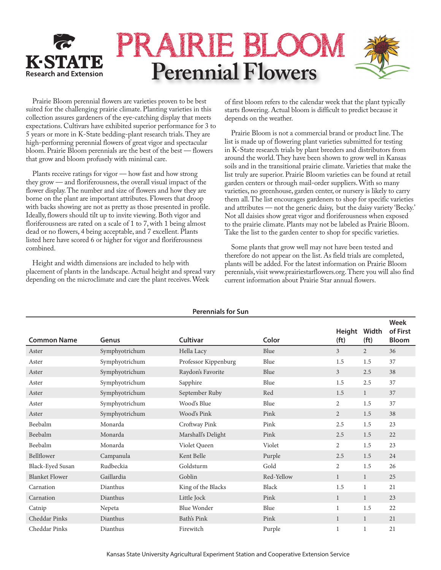

Prairie Bloom perennial flowers are varieties proven to be best suited for the challenging prairie climate. Planting varieties in this collection assures gardeners of the eye-catching display that meets expectations. Cultivars have exhibited superior performance for 3 to 5 years or more in K-State bedding-plant research trials. They are high-performing perennial flowers of great vigor and spectacular bloom. Prairie Bloom perennials are the best of the best — flowers that grow and bloom profusely with minimal care.

Plants receive ratings for vigor — how fast and how strong they grow — and floriferousness, the overall visual impact of the flower display. The number and size of flowers and how they are borne on the plant are important attributes. Flowers that droop with backs showing are not as pretty as those presented in profile. Ideally, flowers should tilt up to invite viewing. Both vigor and floriferousness are rated on a scale of 1 to 7, with 1 being almost dead or no flowers, 4 being acceptable, and 7 excellent. Plants listed here have scored 6 or higher for vigor and floriferousness combined.

Height and width dimensions are included to help with placement of plants in the landscape. Actual height and spread vary depending on the microclimate and care the plant receives. Week

of first bloom refers to the calendar week that the plant typically starts flowering. Actual bloom is difficult to predict because it depends on the weather.

Prairie Bloom is not a commercial brand or product line. The list is made up of flowering plant varieties submitted for testing in K-State research trials by plant breeders and distributors from around the world. They have been shown to grow well in Kansas soils and in the transitional prairie climate. Varieties that make the list truly are superior. Prairie Bloom varieties can be found at retail garden centers or through mail-order suppliers. With so many varieties, no greenhouse, garden center, or nursery is likely to carry them all. The list encourages gardeners to shop for specific varieties and attributes — not the generic daisy, but the daisy variety 'Becky.' Not all daisies show great vigor and floriferousness when exposed to the prairie climate. Plants may not be labeled as Prairie Bloom. Take the list to the garden center to shop for specific varieties.

Some plants that grow well may not have been tested and therefore do not appear on the list. As field trials are completed, plants will be added. For the latest information on Prairie Bloom perennials, visit www.prairiestarflowers.org. There you will also find current information about Prairie Star annual flowers.

|                       |                |                      |            |                             |                            | <b>Week</b>              |
|-----------------------|----------------|----------------------|------------|-----------------------------|----------------------------|--------------------------|
| <b>Common Name</b>    | Genus          | <b>Cultivar</b>      | Color      | Height<br>(f <sub>t</sub> ) | Width<br>(f <sub>t</sub> ) | of First<br><b>Bloom</b> |
| Aster                 | Symphyotrichum | Hella Lacy           | Blue       | 3                           | $\overline{2}$             | 36                       |
| Aster                 | Symphyotrichum | Professor Kippenburg | Blue       | 1.5                         | 1.5                        | 37                       |
| Aster                 | Symphyotrichum | Raydon's Favorite    | Blue       | $\mathfrak{Z}$              | 2.5                        | 38                       |
| Aster                 | Symphyotrichum | Sapphire             | Blue       | 1.5                         | 2.5                        | 37                       |
| Aster                 | Symphyotrichum | September Ruby       | Red        | 1.5                         | $\mathbf{1}$               | 37                       |
| Aster                 | Symphyotrichum | Wood's Blue          | Blue       | 2                           | 1.5                        | 37                       |
| Aster                 | Symphyotrichum | Wood's Pink          | Pink       | 2                           | 1.5                        | 38                       |
| Beebalm               | Monarda        | Croftway Pink        | Pink       | 2.5                         | 1.5                        | 23                       |
| Beebalm               | Monarda        | Marshall's Delight   | Pink       | 2.5                         | 1.5                        | 22                       |
| Beebalm               | Monarda        | Violet Queen         | Violet     | $\overline{2}$              | 1.5                        | 23                       |
| Bellflower            | Campanula      | Kent Belle           | Purple     | 2.5                         | 1.5                        | 24                       |
| Black-Eyed Susan      | Rudbeckia      | Goldsturm            | Gold       | 2                           | 1.5                        | 26                       |
| <b>Blanket Flower</b> | Gaillardia     | Goblin               | Red-Yellow | 1                           | $\mathbf{1}$               | 25                       |
| Carnation             | Dianthus       | King of the Blacks   | Black      | 1.5                         | 1                          | 21                       |
| Carnation             | Dianthus       | Little Jock          | Pink       | 1                           | $\mathbf{1}$               | 23                       |
| Catnip                | Nepeta         | Blue Wonder          | Blue       | 1                           | 1.5                        | 22                       |
| Cheddar Pinks         | Dianthus       | Bath's Pink          | Pink       | $\mathbf{1}$                | $\mathbf{1}$               | 21                       |
| Cheddar Pinks         | Dianthus       | Firewitch            | Purple     |                             |                            | 21                       |

#### **Perennials for Sun**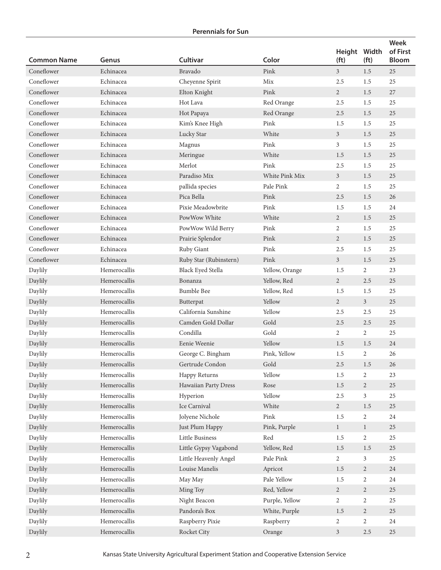| <b>Common Name</b> | Genus        | Cultivar                 | Color          | Height Width<br>(f <sub>t</sub> ) | (f <sub>t</sub> ) | Week<br>of First<br><b>Bloom</b> |
|--------------------|--------------|--------------------------|----------------|-----------------------------------|-------------------|----------------------------------|
| Coneflower         | Echinacea    | Bravado                  | Pink           | 3 <sup>7</sup>                    | 1.5               | 25                               |
| Coneflower         | Echinacea    | Cheyenne Spirit          | Mix            | 2.5                               | 1.5               | 25                               |
| Coneflower         | Echinacea    | Elton Knight             | Pink           | $\overline{2}$                    | 1.5               | 27                               |
| Coneflower         | Echinacea    | Hot Lava                 | Red Orange     | 2.5                               | 1.5               | 25                               |
| Coneflower         | Echinacea    | Hot Papaya               | Red Orange     | $2.5\,$                           | 1.5               | 25                               |
| Coneflower         | Echinacea    | Kim's Knee High          | Pink           | 1.5                               | 1.5               | 25                               |
| Coneflower         | Echinacea    | Lucky Star               | White          | 3 <sup>1</sup>                    | 1.5               | 25                               |
| Coneflower         | Echinacea    | Magnus                   | Pink           | 3                                 | 1.5               | 25                               |
| Coneflower         | Echinacea    | Meringue                 | White          | 1.5                               | 1.5               | 25                               |
| Coneflower         | Echinacea    | Merlot                   | Pink           | 2.5                               | 1.5               | 25                               |
| Coneflower         | Echinacea    | Paradiso Mix             | White Pink Mix | $\mathfrak{Z}$                    | 1.5               | 25                               |
| Coneflower         | Echinacea    | pallida species          | Pale Pink      | $\overline{2}$                    | 1.5               | 25                               |
| Coneflower         | Echinacea    | Pica Bella               | Pink           | 2.5                               | 1.5               | 26                               |
| Coneflower         | Echinacea    | Pixie Meadowbrite        | Pink           | 1.5                               | 1.5               | 24                               |
| Coneflower         | Echinacea    | PowWow White             | White          | $\overline{2}$                    | 1.5               | 25                               |
| Coneflower         | Echinacea    | PowWow Wild Berry        | Pink           | 2                                 | 1.5               | 25                               |
| Coneflower         | Echinacea    | Prairie Splendor         | Pink           | $\overline{2}$                    | 1.5               | 25                               |
| Coneflower         | Echinacea    | Ruby Giant               | Pink           | 2.5                               | 1.5               | 25                               |
| Coneflower         | Echinacea    | Ruby Star (Rubinstern)   | Pink           | 3 <sup>1</sup>                    | 1.5               | 25                               |
| Daylily            | Hemerocallis | <b>Black Eyed Stella</b> | Yellow, Orange | 1.5                               | 2                 | 23                               |
| Daylily            | Hemerocallis | Bonanza                  | Yellow, Red    | $\overline{2}$                    | 2.5               | 25                               |
| Daylily            | Hemerocallis | <b>Bumble Bee</b>        | Yellow, Red    | 1.5                               | 1.5               | 25                               |
| Daylily            | Hemerocallis | Butterpat                | Yellow         | $\overline{2}$                    | 3 <sup>1</sup>    | 25                               |
| Daylily            | Hemerocallis | California Sunshine      | Yellow         | 2.5                               | 2.5               | 25                               |
| Daylily            | Hemerocallis | Camden Gold Dollar       | Gold           | 2.5                               | 2.5               | 25                               |
| Daylily            | Hemerocallis | Condilla                 | Gold           | 2                                 | 2                 | 25                               |
| Daylily            | Hemerocallis | Eenie Weenie             | Yellow         | 1.5                               | 1.5               | 24                               |
| Daylily            | Hemerocallis | George C. Bingham        | Pink, Yellow   | 1.5                               | $\overline{2}$    | 26                               |
| Daylily            | Hemerocallis | Gertrude Condon          | Gold           | $2.5\,$                           | 1.5               | $26\,$                           |
| Daylily            | Hemerocallis | Happy Returns            | Yellow         | 1.5                               | $\sqrt{2}$        | 23                               |
| Daylily            | Hemerocallis | Hawaiian Party Dress     | Rose           | 1.5                               | $\sqrt{2}$        | 25                               |
| Daylily            | Hemerocallis | Hyperion                 | Yellow         | 2.5                               | $\mathfrak{Z}$    | 25                               |
| Daylily            | Hemerocallis | Ice Carnival             | White          | $\overline{2}$                    | 1.5               | 25                               |
| Daylily            | Hemerocallis | Jolyene Nichole          | Pink           | 1.5                               | $\overline{c}$    | 24                               |
| Daylily            | Hemerocallis | Just Plum Happy          | Pink, Purple   | $\mathbf{1}$                      | $\mathbf{1}$      | 25                               |
| Daylily            | Hemerocallis | Little Business          | Red            | 1.5                               | $\sqrt{2}$        | 25                               |
| Daylily            | Hemerocallis | Little Gypsy Vagabond    | Yellow, Red    | 1.5                               | 1.5               | 25                               |
| Daylily            | Hemerocallis | Little Heavenly Angel    | Pale Pink      | $\overline{2}$                    | 3                 | 25                               |
| Daylily            | Hemerocallis | Louise Manelis           | Apricot        | 1.5                               | $\overline{2}$    | 24                               |
| Daylily            | Hemerocallis | May May                  | Pale Yellow    | 1.5                               | $\sqrt{2}$        | 24                               |
| Daylily            | Hemerocallis | Ming Toy                 | Red, Yellow    | $\overline{2}$                    | $\overline{2}$    | 25                               |
| Daylily            | Hemerocallis | Night Beacon             | Purple, Yellow | $\overline{2}$                    | $\overline{2}$    | 25                               |
| Daylily            | Hemerocallis | Pandora's Box            | White, Purple  | 1.5                               | $\sqrt{2}$        | 25                               |
| Daylily            | Hemerocallis | Raspberry Pixie          | Raspberry      | $\sqrt{2}$                        | $\sqrt{2}$        | 24                               |
| Daylily            | Hemerocallis | Rocket City              | Orange         | $\mathfrak{Z}$                    | $2.5\,$           | 25                               |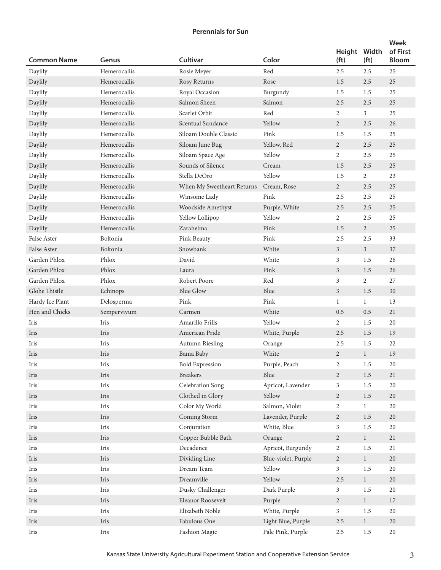| <b>Common Name</b> | Genus                          | <b>Cultivar</b>            | Color                          | Height Width<br>(f <sub>t</sub> ) | (f <sub>t</sub> ) | Week<br>of First<br><b>Bloom</b> |
|--------------------|--------------------------------|----------------------------|--------------------------------|-----------------------------------|-------------------|----------------------------------|
| Daylily            | Hemerocallis                   | Rosie Meyer                | Red                            | 2.5                               | 2.5               | 25                               |
| Daylily            | Hemerocallis                   | Rosy Returns               | Rose                           | 1.5                               | 2.5               | 25                               |
| Daylily            | Hemerocallis                   | Royal Occasion             | Burgundy                       | 1.5                               | 1.5               | 25                               |
| Daylily            | Hemerocallis                   | Salmon Sheen               | Salmon                         | 2.5                               | 2.5               | 25                               |
| Daylily            | Hemerocallis                   | Scarlet Orbit              | Red                            | 2                                 | $\mathfrak{Z}$    | 25                               |
| Daylily            | Hemerocallis                   | Scentual Sundance          | Yellow                         | $\overline{2}$                    | 2.5               | 26                               |
| Daylily            | Hemerocallis                   | Siloam Double Classic      | Pink                           | 1.5                               | 1.5               | 25                               |
| Daylily            | Hemerocallis                   | Siloam June Bug            | Yellow, Red                    | $\overline{2}$                    | 2.5               | 25                               |
| Daylily            | Hemerocallis                   | Siloam Space Age           | Yellow                         | $\overline{2}$                    | 2.5               | 25                               |
| Daylily            | Hemerocallis                   | Sounds of Silence          | Cream                          | 1.5                               | 2.5               | 25                               |
| Daylily            | Hemerocallis                   | Stella DeOro               | Yellow                         | 1.5                               | $\overline{2}$    | 23                               |
| Daylily            | Hemerocallis                   | When My Sweetheart Returns | Cream, Rose                    | $\overline{2}$                    | 2.5               | $25\,$                           |
| Daylily            | Hemerocallis                   | Winsome Lady               | $\ensuremath{\text{\rm Pink}}$ | 2.5                               | 2.5               | 25                               |
| Daylily            | Hemerocallis                   | Woodside Amethyst          | Purple, White                  | 2.5                               | 2.5               | 25                               |
| Daylily            | Hemerocallis                   | Yellow Lollipop            | Yellow                         | 2                                 | 2.5               | 25                               |
| Daylily            | Hemerocallis                   | Zarahelma                  | Pink                           | 1.5                               | $\overline{2}$    | 25                               |
| False Aster        | Boltonia                       | Pink Beauty                | Pink                           | 2.5                               | 2.5               | 33                               |
| False Aster        | Boltonia                       | Snowbank                   | White                          | $\mathfrak{Z}$                    | $\mathfrak{Z}$    | 37                               |
| Garden Phlox       | Phlox                          | David                      | White                          | 3                                 | 1.5               | 26                               |
| Garden Phlox       | Phlox                          | Laura                      | Pink                           | 3                                 | 1.5               | 26                               |
| Garden Phlox       | Phlox                          | Robert Poore               | Red                            | 3                                 | 2                 | 27                               |
| Globe Thistle      | Echinops                       | <b>Blue Glow</b>           | Blue                           | 3                                 | 1.5               | $30\,$                           |
| Hardy Ice Plant    | Delosperma                     | Pink                       | Pink                           | $\mathbf{1}$                      | $\mathbf{1}$      | 13                               |
| Hen and Chicks     | Sempervivum                    | Carmen                     | White                          | 0.5                               | 0.5               | 21                               |
| Iris               | Iris                           | Amarillo Frills            | Yellow                         | 2                                 | 1.5               | 20                               |
| Iris               | Iris                           | American Pride             | White, Purple                  | 2.5                               | 1.5               | 19                               |
| Iris               | Iris                           | Autumn Riesling            | Orange                         | 2.5                               | 1.5               | 22                               |
| Iris               | Iris                           | Bama Baby                  | White                          | $\overline{2}$                    | $\mathbf{1}$      | 19                               |
| Iris               | Iris                           | <b>Bold Expression</b>     | Purple, Peach                  | 2                                 | 1.5               | 20                               |
| Iris               | Iris                           | <b>Breakers</b>            | Blue                           | $\overline{2}$                    | $1.5\,$           | $21\,$                           |
| Iris               | Iris                           | Celebration Song           | Apricot, Lavender              | 3                                 | 1.5               | 20                               |
| Iris               | Iris                           | Clothed in Glory           | Yellow                         | $\overline{2}$                    | $1.5\,$           | 20                               |
| Iris               | Iris                           | Color My World             | Salmon, Violet                 | 2                                 | $\mathbf{1}$      | $20\,$                           |
| Iris               | Iris                           | Coming Storm               | Lavender, Purple               | $\overline{2}$                    | $1.5\,$           | 20                               |
| Iris               | Iris                           | Conjuration                | White, Blue                    | $\mathfrak{Z}$                    | $1.5\,$           | $20\,$                           |
| Iris               | Iris                           | Copper Bubble Bath         | Orange                         | $\sqrt{2}$                        | 1                 | $21\,$                           |
| Iris               | Iris                           | Decadence                  | Apricot, Burgundy              | $\overline{2}$                    | 1.5               | 21                               |
| Iris               | Iris                           | Dividing Line              | Blue-violet, Purple            | $\overline{2}$                    | $1\,$             | $20\,$                           |
| Iris               | $\mathop{\operatorname{Iris}}$ | Dream Team                 | Yellow                         | $\mathfrak{Z}$                    | $1.5\,$           | 20                               |
| Iris               | Iris                           | Dreamville                 | Yellow                         | 2.5                               | $\mathbf{1}$      | $20\,$                           |
| Iris               | Iris                           | Dusky Challenger           | Dark Purple                    | $\mathfrak{Z}$                    | $1.5\,$           | $20\,$                           |
| Iris               | Iris                           | Eleanor Roosevelt          | Purple                         | $\overline{2}$                    | $\mathbf{1}$      | $17\,$                           |
| Iris               | Iris                           | Elizabeth Noble            | White, Purple                  | $\mathfrak{Z}$                    | $1.5\,$           | 20                               |
| Iris               | Iris                           | Fabulous One               | Light Blue, Purple             | $2.5\,$                           | $1\,$             | $20\,$                           |
| Iris               | $\mathop{\operatorname{Iris}}$ | Fashion Magic              | Pale Pink, Purple              | $2.5\,$                           | $1.5\,$           | 20                               |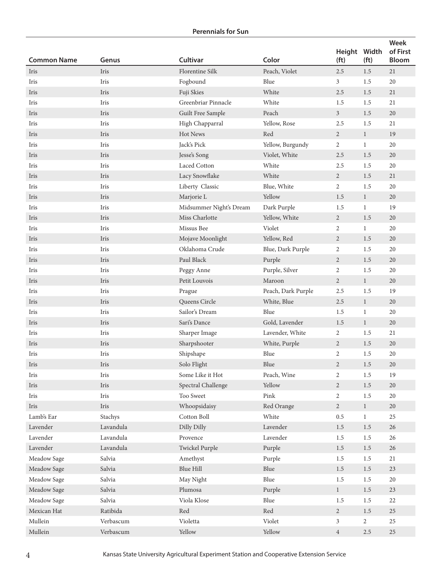|                    |           |                         |                    | Height Width      |                   | <b>Week</b><br>of First |
|--------------------|-----------|-------------------------|--------------------|-------------------|-------------------|-------------------------|
| <b>Common Name</b> | Genus     | <b>Cultivar</b>         | Color              | (f <sub>t</sub> ) | (f <sub>t</sub> ) | <b>Bloom</b>            |
| Iris               | Iris      | Florentine Silk         | Peach, Violet      | $2.5\,$           | 1.5               | 21                      |
| Iris               | Iris      | Fogbound                | Blue               | 3                 | 1.5               | 20                      |
| Iris               | Iris      | Fuji Skies              | White              | 2.5               | 1.5               | 21                      |
| Iris               | Iris      | Greenbriar Pinnacle     | White              | 1.5               | 1.5               | 21                      |
| Iris               | Iris      | Guilt Free Sample       | Peach              | $\mathfrak{Z}$    | 1.5               | 20                      |
| Iris               | Iris      | High Chapparral         | Yellow, Rose       | 2.5               | 1.5               | 21                      |
| Iris               | Iris      | Hot News                | Red                | $\overline{2}$    | $\mathbf{1}$      | 19                      |
| Iris               | Iris      | Jack's Pick             | Yellow, Burgundy   | 2                 | $\mathbf{1}$      | 20                      |
| Iris               | Iris      | Jesse's Song            | Violet, White      | 2.5               | 1.5               | 20                      |
| Iris               | Iris      | Laced Cotton            | White              | 2.5               | 1.5               | 20                      |
| Iris               | Iris      | Lacy Snowflake          | White              | $\overline{2}$    | 1.5               | 21                      |
| Iris               | Iris      | Liberty Classic         | Blue, White        | $\overline{2}$    | 1.5               | 20                      |
| Iris               | Iris      | Marjorie L              | Yellow             | 1.5               | $\mathbf{1}$      | 20                      |
| Iris               | Iris      | Midsummer Night's Dream | Dark Purple        | 1.5               | $\mathbf{1}$      | 19                      |
| Iris               | Iris      | Miss Charlotte          | Yellow, White      | 2                 | 1.5               | 20                      |
| Iris               | Iris      | Missus Bee              | Violet             | 2                 | $\mathbf{1}$      | 20                      |
| Iris               | Iris      | Mojave Moonlight        | Yellow, Red        | 2                 | 1.5               | 20                      |
| Iris               | Iris      | Oklahoma Crude          | Blue, Dark Purple  | 2                 | 1.5               | 20                      |
| Iris               | Iris      | Paul Black              | Purple             | 2                 | 1.5               | 20                      |
| Iris               | Iris      | Peggy Anne              | Purple, Silver     | $\overline{2}$    | 1.5               | 20                      |
| Iris               | Iris      | Petit Louvois           | Maroon             | 2                 | $\mathbf{1}$      | $20\,$                  |
| Iris               | Iris      | Prague                  | Peach, Dark Purple | 2.5               | 1.5               | 19                      |
| Iris               | Iris      | Queens Circle           | White, Blue        | 2.5               | $\mathbf{1}$      | 20                      |
| Iris               | Iris      | Sailor's Dream          | Blue               | 1.5               | $\mathbf{1}$      | 20                      |
| Iris               | Iris      | Sari's Dance            | Gold, Lavender     | 1.5               | $\mathbf{1}$      | $20\,$                  |
| Iris               | Iris      | Sharper Image           | Lavender, White    | 2                 | 1.5               | 21                      |
| Iris               | Iris      | Sharpshooter            | White, Purple      | $\overline{2}$    | 1.5               | $20\,$                  |
| Iris               | Iris      | Shipshape               | Blue               | 2                 | 1.5               | 20                      |
| Iris               | Iris      | Solo Flight             | Blue               | $\overline{2}$    | $1.5\,$           | 20                      |
| Iris               | Iris      | Some Like it Hot        | Peach, Wine        | 2                 | 1.5               | 19                      |
| Iris               | Iris      | Spectral Challenge      | Yellow             | $\overline{2}$    | $1.5\,$           | 20                      |
| Iris               | Iris      | Too Sweet               | Pink               | $\sqrt{2}$        | $1.5\,$           | 20                      |
| Iris               | Iris      | Whoopsidaisy            | Red Orange         | $\overline{2}$    | $\mathbf{1}$      | $20\,$                  |
| Lamb's Ear         | Stachys   | Cotton Boll             | White              | 0.5               | $\mathbf{1}$      | $25\,$                  |
| Lavender           | Lavandula | Dilly Dilly             | Lavender           | 1.5               | $1.5\,$           | 26                      |
| Lavender           | Lavandula | Provence                | Lavender           | 1.5               | $1.5\,$           | 26                      |
| Lavender           | Lavandula | Twickel Purple          | Purple             | 1.5               | $1.5\,$           | $26\,$                  |
| Meadow Sage        | Salvia    | Amethyst                | Purple             | 1.5               | $1.5\,$           | $21\,$                  |
| Meadow Sage        | Salvia    | Blue Hill               | Blue               | 1.5               | 1.5               | 23                      |
| Meadow Sage        | Salvia    | May Night               | Blue               | 1.5               | 1.5               | 20                      |
| Meadow Sage        | Salvia    | Plumosa                 | Purple             | $\mathbf{1}$      | $1.5\,$           | $23\,$                  |
| Meadow Sage        | Salvia    | Viola Klose             | Blue               | 1.5               | $1.5\,$           | 22                      |
| Mexican Hat        | Ratibida  | Red                     | Red                | $\overline{2}$    | $1.5\,$           | $25\,$                  |
| Mullein            | Verbascum | Violetta                | Violet             | $\mathfrak{Z}$    | $\overline{2}$    | $25\,$                  |
| Mullein            | Verbascum | Yellow                  | Yellow             | $\,4$             | $2.5\,$           | $25\,$                  |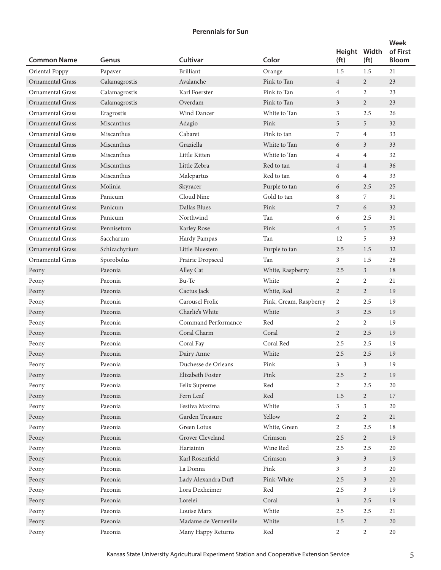| <b>Common Name</b>      | Genus            | Cultivar             | Color                  | Height<br>(f <sub>t</sub> ) | Width<br>(f <sub>t</sub> ) | <b>Week</b><br>of First<br><b>Bloom</b> |
|-------------------------|------------------|----------------------|------------------------|-----------------------------|----------------------------|-----------------------------------------|
| Oriental Poppy          | Papaver          | <b>Brilliant</b>     | Orange                 | 1.5                         | 1.5                        | 21                                      |
| Ornamental Grass        | Calamagrostis    | Avalanche            | Pink to Tan            | $\overline{4}$              | $\overline{2}$             | 23                                      |
| <b>Ornamental Grass</b> | Calamagrostis    | Karl Foerster        | Pink to Tan            | $\overline{4}$              | $\overline{2}$             | 23                                      |
| <b>Ornamental Grass</b> | Calamagrostis    | Overdam              | Pink to Tan            | 3                           | $\overline{2}$             | 23                                      |
| <b>Ornamental Grass</b> | Eragrostis       | Wind Dancer          | White to Tan           | 3                           | 2.5                        | 26                                      |
| <b>Ornamental Grass</b> | Miscanthus       | Adagio               | Pink                   | 5                           | 5                          | 32                                      |
| <b>Ornamental Grass</b> | Miscanthus       | Cabaret              | Pink to tan            | 7                           | $\overline{4}$             | 33                                      |
| <b>Ornamental Grass</b> | Miscanthus       | Graziella            | White to Tan           | 6                           | 3                          | 33                                      |
| <b>Ornamental Grass</b> | Miscanthus       | Little Kitten        | White to Tan           | $\overline{4}$              | $\overline{4}$             | 32                                      |
| <b>Ornamental Grass</b> | Miscanthus       | Little Zebra         | Red to tan             | $\overline{4}$              | $\overline{4}$             | 36                                      |
| <b>Ornamental Grass</b> | Miscanthus       | Malepartus           | Red to tan             | 6                           | $\overline{4}$             | 33                                      |
| Ornamental Grass        | Molinia          | Skyracer             | Purple to tan          | 6                           | 2.5                        | 25                                      |
| <b>Ornamental Grass</b> | Panicum          | Cloud Nine           | Gold to tan            | 8                           | 7                          | 31                                      |
| <b>Ornamental Grass</b> | Panicum          | Dallas Blues         | Pink                   | 7                           | 6                          | 32                                      |
| <b>Ornamental Grass</b> | Panicum          | Northwind            | Tan                    | 6                           | 2.5                        | 31                                      |
| <b>Ornamental Grass</b> | Pennisetum       | Karley Rose          | Pink                   | $\overline{4}$              | 5                          | 25                                      |
| <b>Ornamental Grass</b> | Saccharum        | Hardy Pampas         | Tan                    | 12                          | 5                          | 33                                      |
| <b>Ornamental Grass</b> | Schizachyrium    | Little Bluestem      | Purple to tan          | 2.5                         | 1.5                        | 32                                      |
| <b>Ornamental Grass</b> | Sporobolus       | Prairie Dropseed     | Tan                    | 3                           | 1.5                        | 28                                      |
| Peony                   | Paeonia          | Alley Cat            | White, Raspberry       | 2.5                         | 3 <sup>1</sup>             | 18                                      |
| Peony                   | Paeonia          | Bu-Te                | White                  | 2                           | $\overline{2}$             | 21                                      |
| Peony                   | Paeonia          | Cactus Jack          | White, Red             | $\overline{2}$              | $\overline{2}$             | 19                                      |
| Peony                   | Paeonia          | Carousel Frolic      | Pink, Cream, Raspberry | $\overline{2}$              | 2.5                        | 19                                      |
| Peony                   | Paeonia          | Charlie's White      | White                  | 3                           | 2.5                        | 19                                      |
| Peony                   | Paeonia          | Command Performance  | Red                    | 2                           | $\overline{2}$             | 19                                      |
| Peony                   | Paeonia          | Coral Charm          | Coral                  | $\overline{2}$              | 2.5                        | 19                                      |
| Peony                   | Paeonia          | Coral Fay            | Coral Red              | 2.5                         | 2.5                        | 19                                      |
| Peony                   | Paeonia          | Dairy Anne           | White                  | 2.5                         | 2.5                        | 19                                      |
| Peony                   | $\mbox{Paeonia}$ | Duchesse de Orleans  | Pink                   | 3                           | 3                          | 19                                      |
| Peony                   | Paeonia          | Elizabeth Foster     | Pink                   | 2.5                         | $\overline{2}$             | 19                                      |
| Peony                   | Paeonia          | Felix Supreme        | Red                    | $\overline{2}$              | 2.5                        | 20                                      |
| Peony                   | Paeonia          | Fern Leaf            | Red                    | 1.5                         | $\overline{2}$             | 17                                      |
| Peony                   | Paeonia          | Festiva Maxima       | White                  | 3                           | $\mathfrak{Z}$             | 20                                      |
| Peony                   | Paeonia          | Garden Treasure      | Yellow                 | $\overline{2}$              | $\overline{2}$             | 21                                      |
| Peony                   | Paeonia          | Green Lotus          | White, Green           | $\overline{2}$              | $2.5\,$                    | 18                                      |
| Peony                   | Paeonia          | Grover Cleveland     | Crimson                | 2.5                         | $\overline{2}$             | 19                                      |
| Peony                   | Paeonia          | Hariainin            | Wine Red               | 2.5                         | 2.5                        | 20                                      |
| Peony                   | Paeonia          | Karl Rosenfield      | Crimson                | 3 <sup>7</sup>              | $\overline{3}$             | 19                                      |
| Peony                   | Paeonia          | La Donna             | Pink                   | 3                           | 3                          | 20                                      |
| Peony                   | Paeonia          | Lady Alexandra Duff  | Pink-White             | 2.5                         | 3 <sup>1</sup>             | 20                                      |
| Peony                   | Paeonia          | Lora Dexheimer       | Red                    | 2.5                         | $\mathfrak{Z}$             | 19                                      |
| Peony                   | Paeonia          | Lorelei              | Coral                  | 3 <sup>7</sup>              | $2.5\,$                    | 19                                      |
| Peony                   | Paeonia          | Louise Marx          | White                  | 2.5                         | 2.5                        | 21                                      |
| Peony                   | Paeonia          | Madame de Verneville | White                  | 1.5                         | $\overline{c}$             | 20                                      |
| Peony                   | Paeonia          | Many Happy Returns   | Red                    | $\overline{2}$              | $\overline{c}$             | 20                                      |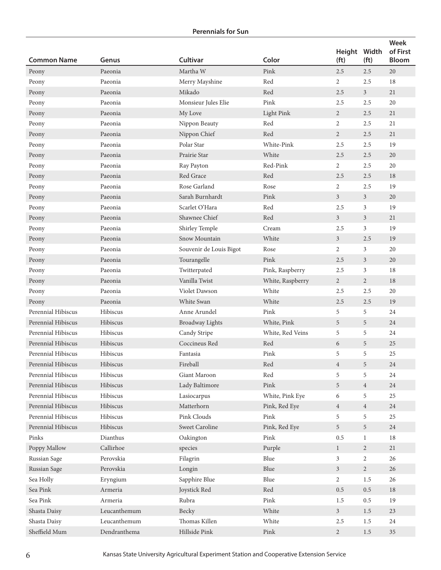| <b>Common Name</b>        | Genus        | <b>Cultivar</b>         | Color                          | Height Width<br>(f <sub>t</sub> ) | (f <sub>t</sub> ) | Week<br>of First<br><b>Bloom</b> |
|---------------------------|--------------|-------------------------|--------------------------------|-----------------------------------|-------------------|----------------------------------|
| Peony                     | Paeonia      | Martha W                | Pink                           | 2.5                               | 2.5               | 20                               |
| Peony                     | Paeonia      | Merry Mayshine          | Red                            | $\overline{2}$                    | 2.5               | 18                               |
| Peony                     | Paeonia      | Mikado                  | Red                            | 2.5                               | $\mathfrak{Z}$    | 21                               |
| Peony                     | Paeonia      | Monsieur Jules Elie     | Pink                           | 2.5                               | 2.5               | 20                               |
| Peony                     | Paeonia      | My Love                 | <b>Light Pink</b>              | $\overline{2}$                    | 2.5               | 21                               |
| Peony                     | Paeonia      | Nippon Beauty           | Red                            | 2                                 | 2.5               | 21                               |
| Peony                     | Paeonia      | Nippon Chief            | Red                            | $\overline{2}$                    | 2.5               | 21                               |
| Peony                     | Paeonia      | Polar Star              | White-Pink                     | 2.5                               | 2.5               | 19                               |
| Peony                     | Paeonia      | Prairie Star            | White                          | 2.5                               | 2.5               | 20                               |
| Peony                     | Paeonia      | Ray Payton              | Red-Pink                       | 2                                 | 2.5               | 20                               |
| Peony                     | Paeonia      | Red Grace               | Red                            | 2.5                               | 2.5               | 18                               |
| Peony                     | Paeonia      | Rose Garland            | Rose                           | 2                                 | 2.5               | 19                               |
| Peony                     | Paeonia      | Sarah Burnhardt         | Pink                           | $\mathfrak{Z}$                    | 3                 | 20                               |
| Peony                     | Paeonia      | Scarlet O'Hara          | Red                            | 2.5                               | 3                 | 19                               |
| Peony                     | Paeonia      | Shawnee Chief           | Red                            | 3 <sup>1</sup>                    | $\mathfrak{Z}$    | 21                               |
| Peony                     | Paeonia      | Shirley Temple          | Cream                          | 2.5                               | 3                 | 19                               |
| Peony                     | Paeonia      | Snow Mountain           | White                          | $\mathfrak{Z}$                    | 2.5               | 19                               |
| Peony                     | Paeonia      | Souvenir de Louis Bigot | Rose                           | 2                                 | 3                 | 20                               |
| Peony                     | Paeonia      | Tourangelle             | Pink                           | 2.5                               | $\mathfrak{Z}$    | 20                               |
| Peony                     | Paeonia      | Twitterpated            | Pink, Raspberry                | 2.5                               | 3                 | 18                               |
| Peony                     | Paeonia      | Vanilla Twist           | White, Raspberry               | $\overline{2}$                    | $\overline{2}$    | 18                               |
| Peony                     | Paeonia      | Violet Dawson           | White                          | 2.5                               | 2.5               | 20                               |
| Peony                     | Paeonia      | White Swan              | White                          | 2.5                               | 2.5               | 19                               |
| Perennial Hibiscus        | Hibiscus     | Anne Arundel            | Pink                           | 5                                 | 5                 | 24                               |
| Perennial Hibiscus        | Hibiscus     | <b>Broadway Lights</b>  | White, Pink                    | 5                                 | 5                 | 24                               |
| Perennial Hibiscus        | Hibiscus     | Candy Stripe            | White, Red Veins               | 5                                 | 5                 | 24                               |
| <b>Perennial Hibiscus</b> | Hibiscus     | Coccineus Red           | Red                            | 6                                 | 5                 | 25                               |
| Perennial Hibiscus        | Hibiscus     | Fantasia                | Pink                           | 5                                 | 5                 | 25                               |
| Perennial Hibiscus        | Hibiscus     | Fireball                | Red                            | $\overline{4}$                    | 5                 | $24\,$                           |
| Perennial Hibiscus        | Hibiscus     | Giant Maroon            | Red                            | 5                                 | 5                 | 24                               |
| Perennial Hibiscus        | Hibiscus     | Lady Baltimore          | Pink                           | $\overline{5}$                    | $\overline{4}$    | $24\,$                           |
| Perennial Hibiscus        | Hibiscus     | Lasiocarpus             | White, Pink Eye                | 6                                 | 5                 | 25                               |
| Perennial Hibiscus        | Hibiscus     | Matterhorn              | Pink, Red Eye                  | $\overline{4}$                    | $\overline{4}$    | 24                               |
| Perennial Hibiscus        | Hibiscus     | Pink Clouds             | Pink                           | 5                                 | 5                 | 25                               |
| Perennial Hibiscus        | Hibiscus     | Sweet Caroline          | Pink, Red Eye                  | 5                                 | 5                 | 24                               |
| Pinks                     | Dianthus     | Oakington               | Pink                           | 0.5                               | $\mathbf{1}$      | 18                               |
| Poppy Mallow              | Callirhoe    | species                 | Purple                         | $\mathbf{1}$                      | $\overline{2}$    | 21                               |
| Russian Sage              | Perovskia    | Filagrin                | Blue                           | $\mathfrak{Z}$                    | $\overline{c}$    | 26                               |
| Russian Sage              | Perovskia    | Longin                  | Blue                           | $\mathfrak{Z}$                    | $\overline{2}$    | 26                               |
| Sea Holly                 | Eryngium     | Sapphire Blue           | Blue                           | $\overline{2}$                    | 1.5               | 26                               |
| Sea Pink                  | Armeria      | Joystick Red            | Red                            | 0.5                               | 0.5               | 18                               |
| Sea Pink                  | Armeria      | Rubra                   | Pink                           | 1.5                               | 0.5               | 19                               |
| Shasta Daisy              | Leucanthemum | Becky                   | White                          | 3 <sup>1</sup>                    | 1.5               | 23                               |
| Shasta Daisy              | Leucanthemum | Thomas Killen           | White                          | 2.5                               | $1.5\,$           | 24                               |
| Sheffield Mum             | Dendranthema | Hillside Pink           | $\ensuremath{\text{\rm Pink}}$ | $\overline{2}$                    | $1.5\,$           | $35\,$                           |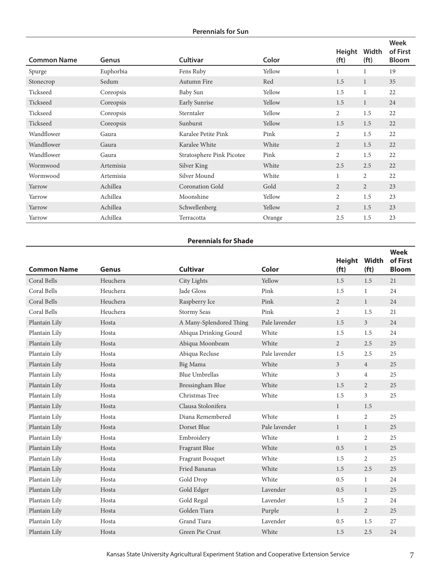## **Perennials for Sun**

|                    |           |                           |        | Height            | Width             | <b>Week</b><br>of First |
|--------------------|-----------|---------------------------|--------|-------------------|-------------------|-------------------------|
| <b>Common Name</b> | Genus     | <b>Cultivar</b>           | Color  | (f <sub>t</sub> ) | (f <sub>t</sub> ) | <b>Bloom</b>            |
| Spurge             | Euphorbia | Fens Ruby                 | Yellow |                   | 1                 | 19                      |
| Stonecrop          | Sedum     | Autumn Fire               | Red    | 1.5               | 1                 | 35                      |
| Tickseed           | Coreopsis | Baby Sun                  | Yellow | 1.5               | 1                 | 22                      |
| Tickseed           | Coreopsis | Early Sunrise             | Yellow | 1.5               | $\mathbf{1}$      | 24                      |
| Tickseed           | Coreopsis | Sterntaler                | Yellow | 2                 | 1.5               | 22                      |
| Tickseed           | Coreopsis | Sunburst                  | Yellow | 1.5               | 1.5               | 22                      |
| Wandflower         | Gaura     | Karalee Petite Pink       | Pink   | $\overline{2}$    | 1.5               | 22                      |
| Wandflower         | Gaura     | Karalee White             | White  | $\overline{2}$    | 1.5               | 22                      |
| Wandflower         | Gaura     | Stratosphere Pink Picotee | Pink   | $\overline{2}$    | 1.5               | 22                      |
| Wormwood           | Artemisia | Silver King               | White  | 2.5               | 2.5               | 22                      |
| Wormwood           | Artemisia | Silver Mound              | White  |                   | $\overline{2}$    | 22                      |
| Yarrow             | Achillea  | <b>Coronation Gold</b>    | Gold   | 2                 | $\overline{2}$    | 23                      |
| Yarrow             | Achillea  | Moonshine                 | Yellow | 2                 | 1.5               | 23                      |
| Yarrow             | Achillea  | Schwellenberg             | Yellow | 2                 | 1.5               | 23                      |
| Yarrow             | Achillea  | Terracotta                | Orange | 2.5               | 1.5               | 23                      |

## **Perennials for Shade**

|                    |              |                         |               | <b>Height</b>     | Width             | Week<br>of First |
|--------------------|--------------|-------------------------|---------------|-------------------|-------------------|------------------|
| <b>Common Name</b> | <b>Genus</b> | <b>Cultivar</b>         | Color         | (f <sub>t</sub> ) | (f <sub>t</sub> ) | <b>Bloom</b>     |
| Coral Bells        | Heuchera     | City Lights             | Yellow        | 1.5               | 1.5               | 21               |
| Coral Bells        | Heuchera     | Jade Gloss              | Pink          | 1.5               | $\mathbf{1}$      | 24               |
| Coral Bells        | Heuchera     | Raspberry Ice           | Pink          | $\overline{2}$    | $\mathbf{1}$      | 24               |
| Coral Bells        | Heuchera     | <b>Stormy Seas</b>      | Pink          | $\overline{2}$    | 1.5               | 21               |
| Plantain Lily      | Hosta        | A Many-Splendored Thing | Pale lavender | 1.5               | $\overline{3}$    | 24               |
| Plantain Lily      | Hosta        | Abiqua Drinking Gourd   | White         | 1.5               | 1.5               | 24               |
| Plantain Lily      | Hosta        | Abiqua Moonbeam         | White         | $\overline{2}$    | 2.5               | 25               |
| Plantain Lily      | Hosta        | Abiqua Recluse          | Pale lavender | 1.5               | 2.5               | 25               |
| Plantain Lily      | Hosta        | Big Mama                | White         | 3 <sup>1</sup>    | $\overline{4}$    | 25               |
| Plantain Lily      | Hosta        | <b>Blue Umbrellas</b>   | White         | $\overline{3}$    | $\overline{4}$    | 25               |
| Plantain Lily      | Hosta        | Bressingham Blue        | White         | 1.5               | $\overline{2}$    | 25               |
| Plantain Lily      | Hosta        | Christmas Tree          | White         | 1.5               | 3                 | 25               |
| Plantain Lily      | Hosta        | Clausa Stolonifera      |               | $\mathbf{1}$      | 1.5               |                  |
| Plantain Lily      | Hosta        | Diana Remembered        | White         | $\mathbf{1}$      | $\overline{2}$    | 25               |
| Plantain Lily      | Hosta        | Dorset Blue             | Pale lavender | $\mathbf{1}$      | $\mathbf{1}$      | 25               |
| Plantain Lily      | Hosta        | Embroidery              | White         | $\mathbf{1}$      | 2                 | 25               |
| Plantain Lily      | Hosta        | Fragrant Blue           | White         | 0.5               | $\mathbf{1}$      | 25               |
| Plantain Lily      | Hosta        | Fragrant Bouquet        | White         | 1.5               | 2                 | 25               |
| Plantain Lily      | Hosta        | Fried Bananas           | White         | 1.5               | 2.5               | 25               |
| Plantain Lily      | Hosta        | Gold Drop               | White         | 0.5               | $\mathbf{1}$      | 24               |
| Plantain Lily      | Hosta        | Gold Edger              | Lavender      | 0.5               | $\mathbf{1}$      | 25               |
| Plantain Lily      | Hosta        | Gold Regal              | Lavender      | 1.5               | $\overline{c}$    | 24               |
| Plantain Lily      | Hosta        | Golden Tiara            | Purple        | $\mathbf{1}$      | $\overline{2}$    | 25               |
| Plantain Lily      | Hosta        | Grand Tiara             | Lavender      | 0.5               | 1.5               | 27               |
| Plantain Lily      | Hosta        | Green Pie Crust         | White         | 1.5               | 2.5               | 24               |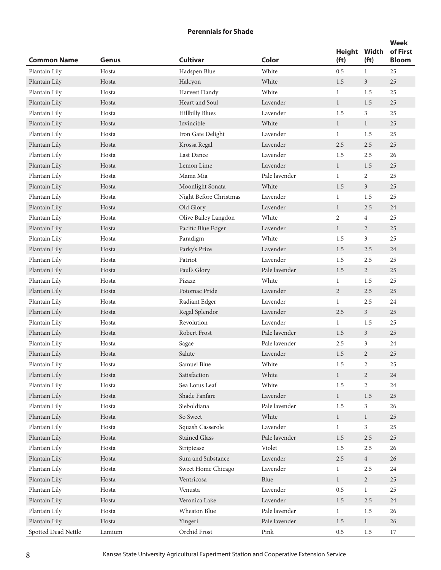| <b>Common Name</b>  | Genus  | <b>Cultivar</b>        | Color                          | <b>Height</b><br>(f <sub>t</sub> ) | Width<br>(f <sub>t</sub> ) | <b>Week</b><br>of First<br><b>Bloom</b> |
|---------------------|--------|------------------------|--------------------------------|------------------------------------|----------------------------|-----------------------------------------|
| Plantain Lily       | Hosta  | Hadspen Blue           | White                          | 0.5                                | $\mathbf{1}$               | 25                                      |
| Plantain Lily       | Hosta  | Halcyon                | White                          | 1.5                                | $\overline{3}$             | 25                                      |
| Plantain Lily       | Hosta  | Harvest Dandy          | White                          | $\mathbf{1}$                       | 1.5                        | 25                                      |
| Plantain Lily       | Hosta  | Heart and Soul         | Lavender                       | $\mathbf{1}$                       | 1.5                        | 25                                      |
| Plantain Lily       | Hosta  | <b>Hillbilly Blues</b> | Lavender                       | 1.5                                | 3                          | 25                                      |
| Plantain Lily       | Hosta  | Invincible             | White                          | $\mathbf{1}$                       | $\mathbf{1}$               | 25                                      |
| Plantain Lily       | Hosta  | Iron Gate Delight      | Lavender                       | $\mathbf{1}$                       | 1.5                        | 25                                      |
| Plantain Lily       | Hosta  | Krossa Regal           | Lavender                       | 2.5                                | 2.5                        | 25                                      |
| Plantain Lily       | Hosta  | Last Dance             | Lavender                       | 1.5                                | 2.5                        | 26                                      |
| Plantain Lily       | Hosta  | Lemon Lime             | Lavender                       | $\mathbf{1}$                       | 1.5                        | 25                                      |
| Plantain Lily       | Hosta  | Mama Mia               | Pale lavender                  | 1                                  | 2                          | 25                                      |
| Plantain Lily       | Hosta  | Moonlight Sonata       | White                          | 1.5                                | $\mathfrak{Z}$             | 25                                      |
| Plantain Lily       | Hosta  | Night Before Christmas | Lavender                       | $\mathbf{1}$                       | 1.5                        | 25                                      |
| Plantain Lily       | Hosta  | Old Glory              | Lavender                       | $\mathbf{1}$                       | 2.5                        | 24                                      |
| Plantain Lily       | Hosta  | Olive Bailey Langdon   | White                          | 2                                  | $\overline{4}$             | 25                                      |
| Plantain Lily       | Hosta  | Pacific Blue Edger     | Lavender                       | $\mathbf{1}$                       | $\overline{2}$             | 25                                      |
| Plantain Lily       | Hosta  | Paradigm               | White                          | 1.5                                | 3                          | 25                                      |
| Plantain Lily       | Hosta  | Parky's Prize          | Lavender                       | 1.5                                | 2.5                        | 24                                      |
| Plantain Lily       | Hosta  | Patriot                | Lavender                       | 1.5                                | 2.5                        | 25                                      |
| Plantain Lily       | Hosta  | Paul's Glory           | Pale lavender                  | 1.5                                | $\overline{2}$             | 25                                      |
| Plantain Lily       | Hosta  | Pizazz                 | White                          | $\mathbf{1}$                       | 1.5                        | 25                                      |
| Plantain Lily       | Hosta  | Potomac Pride          | Lavender                       | $\overline{2}$                     | 2.5                        | 25                                      |
| Plantain Lily       | Hosta  | Radiant Edger          | Lavender                       | 1                                  | 2.5                        | 24                                      |
| Plantain Lily       | Hosta  | Regal Splendor         | Lavender                       | 2.5                                | 3 <sup>1</sup>             | 25                                      |
| Plantain Lily       | Hosta  | Revolution             | Lavender                       | $\mathbf{1}$                       | 1.5                        | 25                                      |
| Plantain Lily       | Hosta  | Robert Frost           | Pale lavender                  | 1.5                                | $\mathfrak{Z}$             | 25                                      |
| Plantain Lily       | Hosta  | Sagae                  | Pale lavender                  | 2.5                                | 3                          | 24                                      |
| Plantain Lily       | Hosta  | Salute                 | Lavender                       | 1.5                                | $\overline{2}$             | 25                                      |
| Plantain Lily       | Hosta  | Samuel Blue            | White                          | $1.5\,$                            | 2                          | 25                                      |
| Plantain Lily       | Hosta  | Satisfaction           | White                          | $\mathbf{1}$                       | $\overline{2}$             | 24                                      |
| Plantain Lily       | Hosta  | Sea Lotus Leaf         | White                          | 1.5                                | $\overline{2}$             | 24                                      |
| Plantain Lily       | Hosta  | Shade Fanfare          | Lavender                       | $\mathbf{1}$                       | $1.5\,$                    | 25                                      |
| Plantain Lily       | Hosta  | Sieboldiana            | Pale lavender                  | 1.5                                | $\mathfrak{Z}$             | 26                                      |
| Plantain Lily       | Hosta  | So Sweet               | White                          | $\mathbf{1}$                       | $\mathbf{1}$               | 25                                      |
| Plantain Lily       | Hosta  | Squash Casserole       | Lavender                       | $\mathbf{1}$                       | $\mathfrak{Z}$             | 25                                      |
| Plantain Lily       | Hosta  | <b>Stained Glass</b>   | Pale lavender                  | 1.5                                | $2.5\,$                    | 25                                      |
| Plantain Lily       | Hosta  | Striptease             | Violet                         | 1.5                                | 2.5                        | 26                                      |
| Plantain Lily       | Hosta  | Sum and Substance      | Lavender                       | $2.5\,$                            | $\overline{4}$             | 26                                      |
| Plantain Lily       | Hosta  | Sweet Home Chicago     | Lavender                       | $\mathbf{1}$                       | 2.5                        | 24                                      |
| Plantain Lily       | Hosta  | Ventricosa             | Blue                           | $\mathbf{1}$                       | $\overline{2}$             | 25                                      |
| Plantain Lily       | Hosta  | Venusta                | Lavender                       | 0.5                                | $\mathbf{1}$               | 25                                      |
| Plantain Lily       | Hosta  | Veronica Lake          | Lavender                       | 1.5                                | $2.5\,$                    | 24                                      |
| Plantain Lily       | Hosta  | Wheaton Blue           | Pale lavender                  | $\mathbf{1}$                       | 1.5                        | 26                                      |
| Plantain Lily       | Hosta  | Yingeri                | Pale lavender                  | 1.5                                | $\mathbf{1}$               | 26                                      |
| Spotted Dead Nettle | Lamium | Orchid Frost           | $\ensuremath{\text{\rm Pink}}$ | 0.5                                | $1.5\,$                    | 17                                      |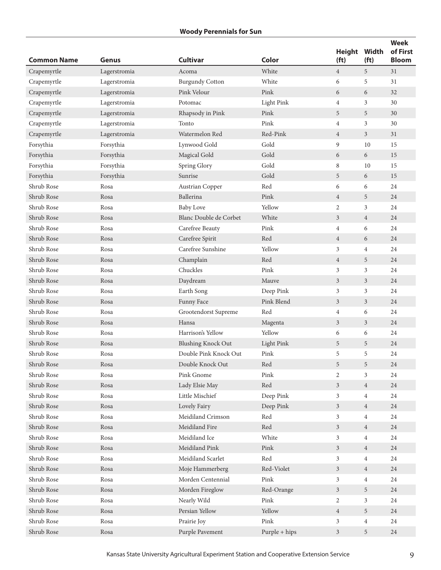| <b>Common Name</b> | <b>Genus</b> | <b>Cultivar</b>           | Color                          | <b>Height</b><br>(f <sub>t</sub> ) | Width<br>(f <sub>t</sub> ) | <b>Week</b><br>of First<br><b>Bloom</b> |
|--------------------|--------------|---------------------------|--------------------------------|------------------------------------|----------------------------|-----------------------------------------|
| Crapemyrtle        | Lagerstromia | Acoma                     | White                          | $\overline{4}$                     | 5                          | 31                                      |
| Crapemyrtle        | Lagerstromia | <b>Burgundy Cotton</b>    | White                          | 6                                  | 5                          | 31                                      |
| Crapemyrtle        | Lagerstromia | Pink Velour               | Pink                           | 6                                  | 6                          | 32                                      |
| Crapemyrtle        | Lagerstromia | Potomac                   | <b>Light Pink</b>              | $\overline{4}$                     | 3                          | 30                                      |
| Crapemyrtle        | Lagerstromia | Rhapsody in Pink          | Pink                           | 5                                  | 5                          | 30                                      |
| Crapemyrtle        | Lagerstromia | Tonto                     | Pink                           | 4                                  | 3                          | 30                                      |
| Crapemyrtle        | Lagerstromia | Watermelon Red            | Red-Pink                       | $\overline{4}$                     | $\mathfrak{Z}$             | 31                                      |
| Forsythia          | Forsythia    | Lynwood Gold              | Gold                           | 9                                  | 10                         | 15                                      |
| Forsythia          | Forsythia    | Magical Gold              | Gold                           | 6                                  | 6                          | 15                                      |
| Forsythia          | Forsythia    | Spring Glory              | Gold                           | 8                                  | 10                         | 15                                      |
| Forsythia          | Forsythia    | Sunrise                   | Gold                           | 5                                  | 6                          | 15                                      |
| Shrub Rose         | Rosa         | Austrian Copper           | Red                            | 6                                  | 6                          | 24                                      |
| Shrub Rose         | Rosa         | Ballerina                 | Pink                           | $\overline{4}$                     | 5                          | 24                                      |
| Shrub Rose         | Rosa         | <b>Baby Love</b>          | Yellow                         | $\overline{2}$                     | 3                          | 24                                      |
| Shrub Rose         | Rosa         | Blanc Double de Corbet    | White                          | $\mathfrak{Z}$                     | $\overline{4}$             | 24                                      |
| Shrub Rose         | Rosa         | Carefree Beauty           | Pink                           | $\overline{4}$                     | 6                          | 24                                      |
| Shrub Rose         | Rosa         | Carefree Spirit           | Red                            | $\overline{4}$                     | 6                          | 24                                      |
| Shrub Rose         | Rosa         | Carefree Sunshine         | Yellow                         | 3                                  | 4                          | 24                                      |
| Shrub Rose         | Rosa         | Champlain                 | Red                            | $\overline{4}$                     | 5                          | 24                                      |
| Shrub Rose         | Rosa         | Chuckles                  | Pink                           | 3                                  | 3                          | 24                                      |
| Shrub Rose         | Rosa         | Daydream                  | Mauve                          | $\overline{3}$                     | 3                          | 24                                      |
| Shrub Rose         | Rosa         | Earth Song                | Deep Pink                      | 3                                  | 3                          | 24                                      |
| Shrub Rose         | Rosa         | Funny Face                | Pink Blend                     | 3                                  | 3                          | 24                                      |
| Shrub Rose         | Rosa         | Grootendorst Supreme      | Red                            | $\overline{4}$                     | 6                          | 24                                      |
| Shrub Rose         | Rosa         | Hansa                     | Magenta                        | 3                                  | 3                          | 24                                      |
| Shrub Rose         | Rosa         | Harrison's Yellow         | Yellow                         | 6                                  | 6                          | 24                                      |
| Shrub Rose         | Rosa         | <b>Blushing Knock Out</b> | <b>Light Pink</b>              | 5                                  | 5                          | 24                                      |
| Shrub Rose         | Rosa         | Double Pink Knock Out     | Pink                           | 5                                  | 5                          | 24                                      |
| Shrub Rose         | Rosa         | Double Knock Out          | $\mbox{Red}$                   | 5                                  | 5                          | $\sqrt{24}$                             |
| Shrub Rose         | Rosa         | Pink Gnome                | Pink                           | 2                                  | $\mathfrak{Z}$             | 24                                      |
| Shrub Rose         | Rosa         | Lady Elsie May            | $\mbox{Red}$                   | $\mathfrak{Z}$                     | $\overline{4}$             | $24\,$                                  |
| Shrub Rose         | Rosa         | Little Mischief           | Deep Pink                      | 3                                  | $\overline{4}$             | 24                                      |
| Shrub Rose         | Rosa         | Lovely Fairy              | Deep Pink                      | $\mathfrak{Z}$                     | $\overline{4}$             | 24                                      |
| Shrub Rose         | Rosa         | Meidiland Crimson         | Red                            | 3                                  | $\overline{4}$             | 24                                      |
| Shrub Rose         | Rosa         | Meidiland Fire            | Red                            | $\mathfrak{Z}$                     | $\overline{4}$             | 24                                      |
| Shrub Rose         | Rosa         | Meidiland Ice             | White                          | 3                                  | $\overline{4}$             | 24                                      |
| Shrub Rose         | Rosa         | Meidiland Pink            | Pink                           | 3                                  | $\overline{4}$             | 24                                      |
| Shrub Rose         | Rosa         | Meidiland Scarlet         | Red                            | 3                                  | $\overline{4}$             | 24                                      |
| Shrub Rose         | Rosa         | Moje Hammerberg           | Red-Violet                     | 3                                  | $\overline{4}$             | 24                                      |
| Shrub Rose         | Rosa         | Morden Centennial         | $\ensuremath{\text{\rm Pink}}$ | 3                                  | $\overline{4}$             | 24                                      |
| Shrub Rose         | Rosa         | Morden Fireglow           | Red-Orange                     | $\mathfrak{Z}$                     | 5                          | $24\,$                                  |
| Shrub Rose         | Rosa         | Nearly Wild               | Pink                           | 2                                  | $\mathfrak{Z}$             | 24                                      |
| Shrub Rose         | Rosa         | Persian Yellow            | Yellow                         | $\overline{4}$                     | 5                          | 24                                      |
| Shrub Rose         | Rosa         | Prairie Joy               | Pink                           | 3                                  | $\overline{4}$             | 24                                      |
| Shrub Rose         | Rosa         | Purple Pavement           | Purple + hips                  | $\mathfrak{Z}$                     | 5                          | 24                                      |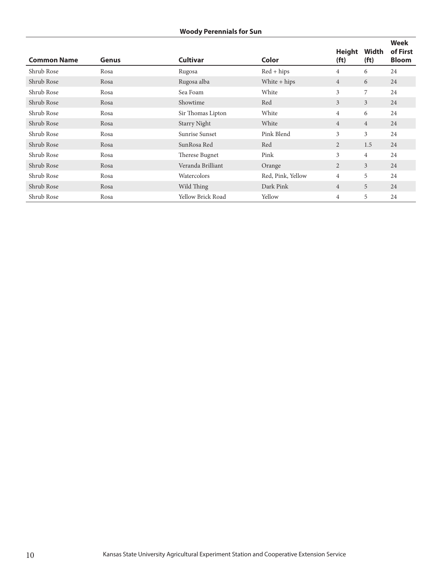# **Woody Perennials for Sun**

| <b>Common Name</b> | Genus | <b>Cultivar</b>          | Color             | <b>Height</b><br>(f <sub>t</sub> ) | Width<br>(f <sub>t</sub> ) | <b>Week</b><br>of First<br><b>Bloom</b> |
|--------------------|-------|--------------------------|-------------------|------------------------------------|----------------------------|-----------------------------------------|
| Shrub Rose         | Rosa  | Rugosa                   | $Red + hips$      | $\overline{4}$                     | 6                          | 24                                      |
| Shrub Rose         | Rosa  | Rugosa alba              | White $+$ hips    | $\overline{4}$                     | 6                          | 24                                      |
| Shrub Rose         | Rosa  | Sea Foam                 | White             | 3                                  | 7                          | 24                                      |
| Shrub Rose         | Rosa  | Showtime                 | Red               | 3                                  | $\overline{3}$             | 24                                      |
| Shrub Rose         | Rosa  | Sir Thomas Lipton        | White             | $\overline{4}$                     | 6                          | 24                                      |
| Shrub Rose         | Rosa  | <b>Starry Night</b>      | White             | $\overline{4}$                     | $\overline{4}$             | 24                                      |
| Shrub Rose         | Rosa  | Sunrise Sunset           | Pink Blend        | 3                                  | 3                          | 24                                      |
| Shrub Rose         | Rosa  | SunRosa Red              | Red               | $\overline{2}$                     | 1.5                        | 24                                      |
| Shrub Rose         | Rosa  | Therese Bugnet           | Pink              | 3                                  | $\overline{4}$             | 24                                      |
| Shrub Rose         | Rosa  | Veranda Brilliant        | Orange            | 2                                  | $\overline{3}$             | 24                                      |
| Shrub Rose         | Rosa  | Watercolors              | Red, Pink, Yellow | $\overline{4}$                     | 5                          | 24                                      |
| Shrub Rose         | Rosa  | Wild Thing               | Dark Pink         | $\overline{4}$                     | 5                          | 24                                      |
| Shrub Rose         | Rosa  | <b>Yellow Brick Road</b> | Yellow            | $\overline{4}$                     | 5                          | 24                                      |